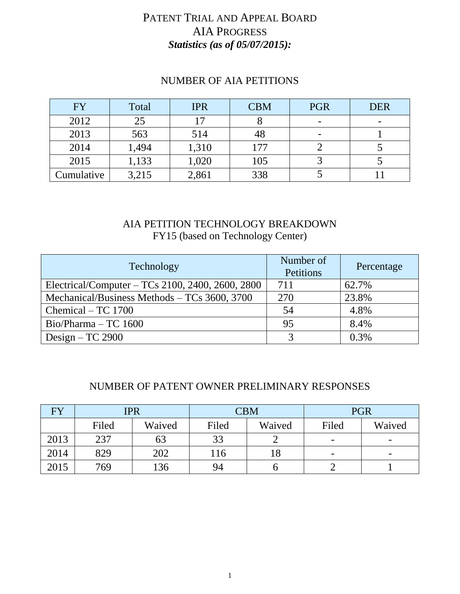# PATENT TRIAL AND APPEAL BOARD AIA PROGRESS *Statistics (as of 05/07/2015):*

| <b>FY</b>  | Total | <b>IPR</b> | <b>CBM</b> | <b>PGR</b> | <b>DER</b> |
|------------|-------|------------|------------|------------|------------|
| 2012       | 25    |            |            | ۰          |            |
| 2013       | 563   | 514        | 48         | ۰          |            |
| 2014       | 1,494 | 1,310      | 177        |            |            |
| 2015       | 1,133 | 1,020      | 105        |            |            |
| Cumulative | 3,215 | 2,861      | 338        |            |            |

# NUMBER OF AIA PETITIONS

### AIA PETITION TECHNOLOGY BREAKDOWN FY15 (based on Technology Center)

| Technology                                       | Number of<br>Petitions | Percentage |
|--------------------------------------------------|------------------------|------------|
| Electrical/Computer – TCs 2100, 2400, 2600, 2800 | 711                    | 62.7%      |
| Mechanical/Business Methods - TCs 3600, 3700     | 270                    | 23.8%      |
| Chemical – TC 1700                               | 54                     | 4.8%       |
| $Bio/Pharma - TC 1600$                           | 95                     | 8.4%       |
| Design – TC 2900                                 |                        | 0.3%       |

#### NUMBER OF PATENT OWNER PRELIMINARY RESPONSES

| FY   | <b>IPR</b> |        |       | ${\rm CBM}$ | <b>PGR</b>               |        |  |
|------|------------|--------|-------|-------------|--------------------------|--------|--|
|      | Filed      | Waived | Filed | Waived      | Filed                    | Waived |  |
| 2013 | 237        | 63     | 33    |             | -                        | -      |  |
| 2014 | 829        | 202    | 116   | 18          | $\overline{\phantom{0}}$ | -      |  |
| 2015 | 769        | 36     | 94    |             |                          |        |  |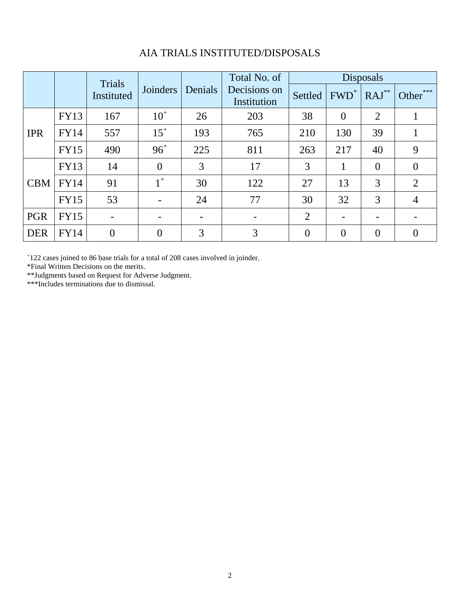|            | Trials<br>Instituted |                |          | Total No. of | Disposals                   |                |                |                  |              |
|------------|----------------------|----------------|----------|--------------|-----------------------------|----------------|----------------|------------------|--------------|
|            |                      |                | Joinders | Denials      | Decisions on<br>Institution | Settled        | $FWD^*$        | $RAJ^{\ast\ast}$ | ***<br>Other |
| <b>IPR</b> | <b>FY13</b>          | 167            | $10^+$   | 26           | 203                         | 38             | $\overline{0}$ | $\overline{2}$   |              |
|            | FY14                 | 557            | $15^{+}$ | 193          | 765                         | 210            | 130            | 39               |              |
|            | <b>FY15</b>          | 490            | $96^{+}$ | 225          | 811                         | 263            | 217            | 40               | 9            |
| <b>CBM</b> | <b>FY13</b>          | 14             | $\theta$ | 3            | 17                          | 3              |                | $\overline{0}$   | $\Omega$     |
|            | FY14                 | 91             | $1^+$    | 30           | 122                         | 27             | 13             | 3                | 2            |
|            | <b>FY15</b>          | 53             |          | 24           | 77                          | 30             | 32             | 3                | 4            |
| <b>PGR</b> | <b>FY15</b>          |                |          |              |                             | $\overline{2}$ |                |                  |              |
| <b>DER</b> | <b>FY14</b>          | $\overline{0}$ | $\theta$ | 3            | 3                           | $\overline{0}$ | $\overline{0}$ | $\overline{0}$   | $\theta$     |

# AIA TRIALS INSTITUTED/DISPOSALS

+ 122 cases joined to 86 base trials for a total of 208 cases involved in joinder.

\*Final Written Decisions on the merits.

\*\*Judgments based on Request for Adverse Judgment.

\*\*\*Includes terminations due to dismissal.